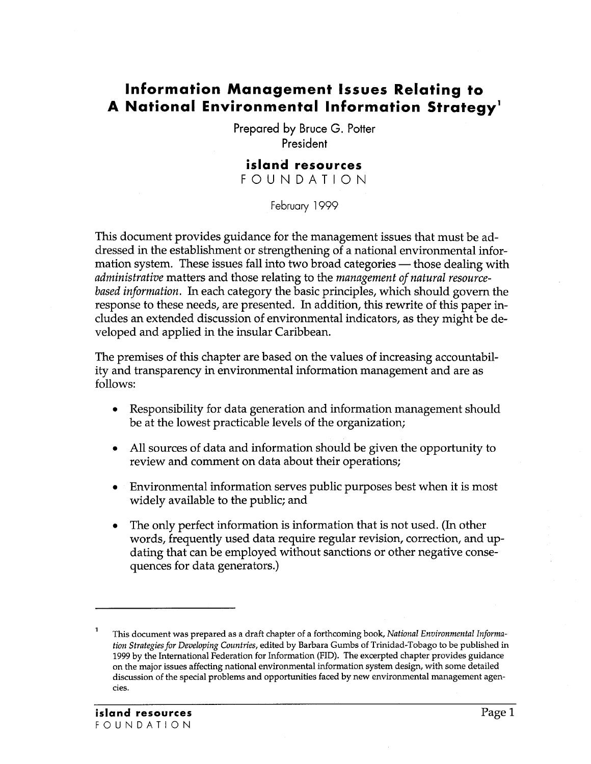# **Information Management Issues Relating to A National Environmental Information Strategyl**

Prepared by Bruce G. Potter President

## **island resources**

FOUNDATION

February 1999

This document provides guidance for the management issues that must be addressed in the establishment or strengthening of a national environmental information system. These issues fall into two broad categories — those dealing with *administrative* matters and those relating to the *management of natural resourcebased information.* In each category the basic principles, which should govern the response to these needs, are presented. In addition, this rewrite of this paper includes an extended discussion of environmental indicators, as they might be developed and applied in the insular Caribbean.

The premises of this chapter are based on the values of increasing accountability and transparency in environmental information management and are as follows:

- Responsibility for data generation and information management should be at the lowest practicable levels of the organization;
- All sources of data and information should be given the opportunity to review and comment on data about their operations;
- Environmental information serves public purposes best when it is most widely available to the public; and
- The only perfect information is information that is not used. (In other words, frequently used data require regular revision, correction, and updating that can be employed without sanctions or other negative consequences for data generators.)

This document was prepared as a draft chapter of a forthcoming book, *National Environmental Information Strategies for Developing Countries,* edited by Barbara Gumbs of Trinidad-Tobago to be published in 1999 by the International Federation for Information (FlD). The excerpted chapter provides guidance on the major issues affecting national environmental information system design, with some detailed discussion of the special problems and opportunities faced by new environmental management agencies.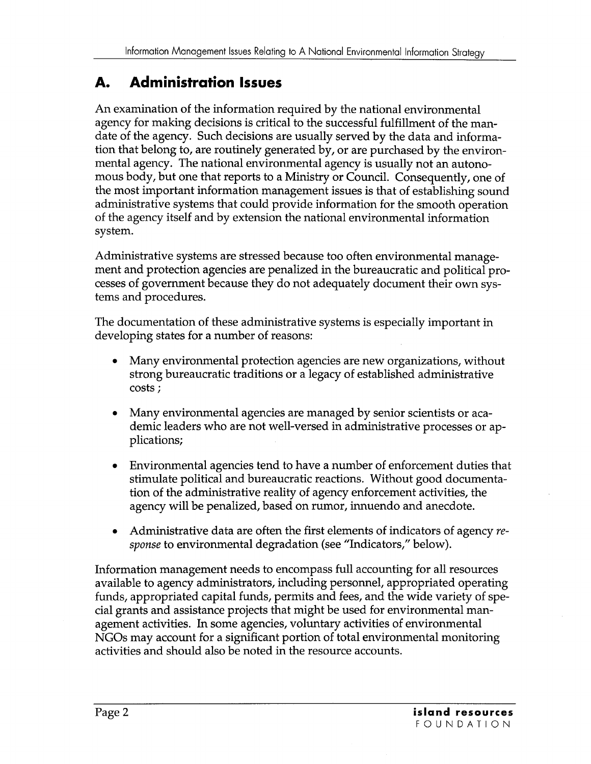# **A. Administration Issues**

An examination of the information required by the national environmental agency for making decisions is critical to the successful fulfillment of the mandate of the agency. Such decisions are usually served by the data and information that belong to, are routinely generated by, or are purchased by the environmental agency. The national environmental agency is usually not an autonomous body, but one that reports to a Ministry or Council. Consequently, one of the most important information management issues is that of establishing sound administrative systems that could provide information for the smooth operation of the agency itself and by extension the national environmental information system.

Administrative systems are stressed because too often environmental management and protection agencies are penalized in the bureaucratic and political processes of government because they do not adequately document their own systems and procedures.

The documentation of these administrative systems is especially important in developing states for a number of reasons:

- Many environmental protection agencies are new organizations, without strong bureaucratic traditions or a legacy of established administrative costs;
- Many environmental agencies are managed by senior scientists or academic leaders who are not well-versed in administrative processes or applications;
- Environmental agencies tend to have a number of enforcement duties that stimulate political and bureaucratic reactions. Without good documentation of the administrative reality of agency enforcement activities, the agency will be penalized, based on rumor, innuendo and anecdote.
- Administrative data are often the first elements of indicators of agency *response* to environmental degradation (see "Indicators," below).

Information management needs to encompass full accounting for all resources available to agency administrators, including personnel, appropriated operating funds, appropriated capital funds, permits and fees, and the wide variety of special grants and assistance projects that might be used for environmental management activities. In some agencies, voluntary activities of environmental NGOs may account for a significant portion of total environmental monitoring activities and should also be noted in the resource accounts.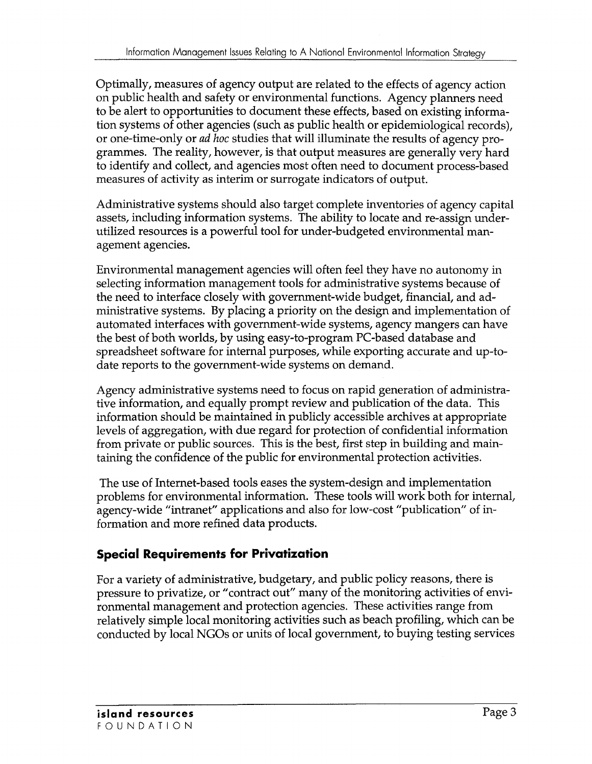Optimally, measures of agency output are related to the effects of agency action on public health and safety or environmental functions. Agency planners need to be alert to opportunities to document these effects, based on existing information systems of other agencies (such as public health or epidemiological records), or one-time-only or *ad hoc* studies that will illuminate the results of agency programmes. The reality, however, is that output measures are generally very hard to identify and collect, and agencies most often need to document process-based measures of activity as interim or surrogate indicators of output.

Administrative systems should also target complete inventories of agency capital assets, including information systems. The ability to locate and re-assign underutilized resources is a powerful tool for under-budgeted environmental management agencies.

Environmental management agencies will often feel they have no autonomy in selecting information management tools for administrative systems because of the need to interface closely with government-wide budget, financial, and administrative systems. By placing a priority on the design and implementation of automated interfaces with government-wide systems, agency mangers can have the best of both worlds, by using easy-to-program PC-based database and spreadsheet software for internal purposes, while exporting accurate and up-todate reports to the government-wide systems on demand.

Agency administrative systems need to focus on rapid generation of administrative information, and equally prompt review and publication of the data. This information should be maintained in publicly accessible archives at appropriate levels of aggregation, with due regard for protection of confidential information from private or public sources. This is the best, first step in building and maintaining the confidence of the public for environmental protection activities.

The use of Internet-based tools eases the system-design and implementation problems for environmental information. These tools will work both for internal, agency-wide "intranet" applications and also for low-cost "publication" of information and more refined data products.

## **Special Requirements for Privatization**

For a variety of administrative, budgetary, and public policy reasons, there is pressure to privatize, or "contract out" many of the monitoring activities of environmental management and protection agencies. These activities range from relatively simple local monitoring activities such as beach profiling, which can be conducted by local NGOs or units of local government, to buying testing services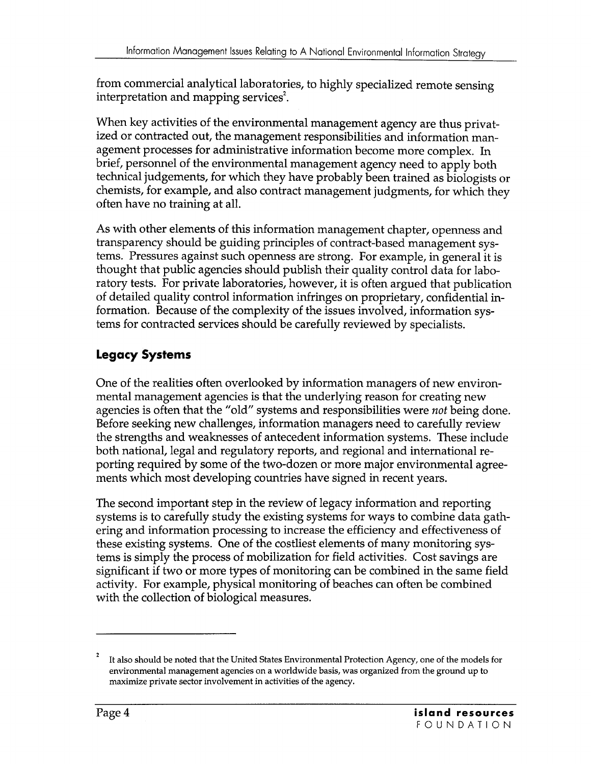from commercial analytical laboratories, to highly specialized remote sensing interpretation and mapping services<sup>2</sup>.

When key activities of the environmental management agency are thus privatized or contracted out, the management responsibilities and information management processes for administrative information become more complex. In brief, personnel of the environmental management agency need to apply both technical judgements, for which they have probably been trained as biologists or chemists, for example, and also contract management judgments, for which they often have no training at all.

As with other elements of this information management chapter, openness and transparency should be guiding principles of contract-based management systems. Pressures against such openness are strong. For example, in general it is thought that public agencies should publish their quality control data for laboratory tests. For private laboratories, however, it is often argued that publication of detailed quality control information infringes on proprietary, confidential information. Because of the complexity of the issues involved, information systems for contracted services should be carefully reviewed by specialists.

# **Legacy Systems**

One of the realities often overlooked by information managers of new environmental management agencies is that the underlying reason for creating new agencies is often that the "old" systems and responsibilities were *not* being done. Before seeking new challenges, information managers need to carefully review the strengths and weaknesses of antecedent information systems. These include both national, legal and regulatory reports, and regional and international reporting required by some of the two-dozen or more major environmental agreements which most developing countries have signed in recent years.

The second important step in the review of legacy information and reporting systems is to carefully study the existing systems for ways to combine data gathering and information processing to increase the efficiency and effectiveness of these existing systems. One of the costliest elements of many monitoring systems is simply the process of mobilization for field activities. Cost savings are significant if two or more types of monitoring can be combined in the same field activity. For example, physical monitoring of beaches can often be combined with the collection of biological measures.

It also should be noted that the United States Environmental Protection Agency, one of the models for environmental management agencies on a worldwide basis, was organized from the ground up to maximize private sector involvement in activities of the agency.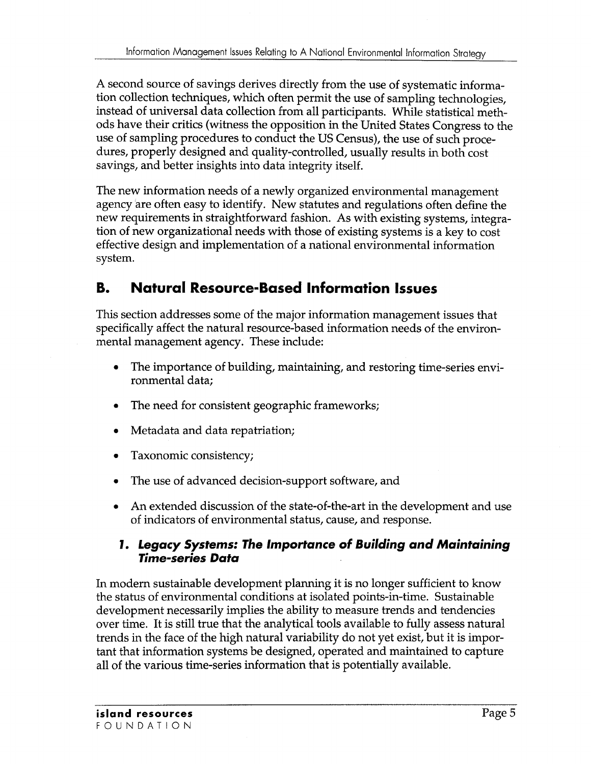A second source of savings derives directly from the use of systematic information collection techniques, which often permit the use of sampling technologies, instead of universal data collection from all participants. While statistical methods have their critics (witness the opposition in the United States Congress to the use of sampling procedures to conduct the US Census), the use of such procedures, properly designed and quality-controlled, usually results in both cost savings, and better insights into data integrity itself.

The new information needs of a newly organized environmental management agency are often easy to identify. New statutes and regulations often define the new requirements in straightforward fashion. As with existing systems, integration of new organizational needs with those of existing systems is a key to cost effective design and implementation of a national environmental information system.

# **B. Natural Resource-Based Information Issues**

This section addresses some of the major information management issues that specifically affect the natural resource-based information needs of the environmental management agency. These include:

- The importance of building, maintaining, and restoring time-series environmental data;
- The need for consistent geographic frameworks;
- Metadata and data repatriation;
- Taxonomic consistency;
- The use of advanced decision-support software, and
- An extended discussion of the state-of-the-art in the development and use of indicators of environmental status, cause, and response.

## *1. Legacy Systems: The Importance* **of** *Building* **and** *Maintaining Time-series Data*

In modern sustainable development planning it is no longer sufficient to know the status of environmental conditions at isolated points-in-time. Sustainable development necessarily implies the ability to measure trends and tendencies over time. It is still true that the analytical tools available to fully assess natural trends in the face of the high natural variability do not yet exist, but it is important that information systems be designed, operated and maintained to capture all of the various time-series information that is potentially available.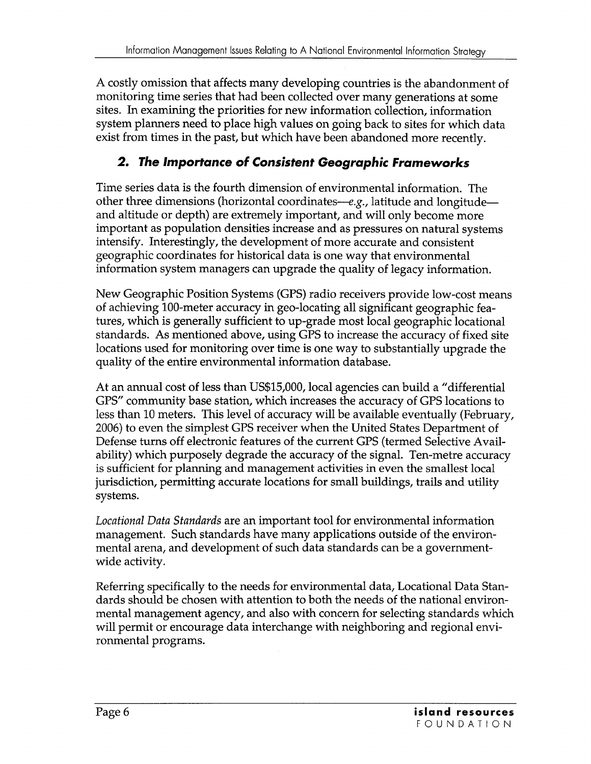A costly omission that affects many developing countries is the abandonment of monitoring time series that had been collected over many generations at some sites. In examining the priorities for new information collection, information system planners need to place high values on going back to sites for which data exist from times in the past, but which have been abandoned more recently.

# *2. The Importance* **of** *Consistent Geographic Frameworks*

Time series data is the fourth dimension of environmental information. The other three dimensions (horizontal coordinates— $e.g.,$  latitude and longitude and altitude or depth) are extremely important, and will only become more important as population densities increase and as pressures on natural systems intensify. Interestingly, the development of more accurate and consistent geographic coordinates for historical data is one way that environmental information system managers can upgrade the quality of legacy information.

New Geographic Position Systems (GPS) radio receivers provide low-cost means of achieving 100-meter accuracy in geo-Iocating all significant geographic features, which is generally sufficient to up-grade most local geographic locational standards. As mentioned above, using GPS to increase the accuracy of fixed site locations used for monitoring over time is one way to substantially upgrade the quality of the entire environmental information database.

At an annual cost of less than US\$15,000, local agencies can build a "differential GPS" community base station, which increases the accuracy of GPS locations to less than 10 meters. This level of accuracy will be available eventually (February, 2006) to even the simplest GPS receiver when the United States Department of Defense turns off electronic features of the current GPS (termed Selective A vailability) which purposely degrade the accuracy of the signal. Ten-metre accuracy is sufficient for planning and management activities in even the smallest local jurisdiction, permitting accurate locations for small buildings, trails and utility systems.

*Loeational Data Standards* are an important tool for environmental information management. Such standards have many applications outside of the environmental arena, and development of such data standards can be a governmentwide activity.

Referring specifically to the needs for environmental data, Locational Data Standards should be chosen with attention to both the needs of the national environmental management agency, and also with concern for selecting standards which will permit or encourage data interchange with neighboring and regional environmental programs.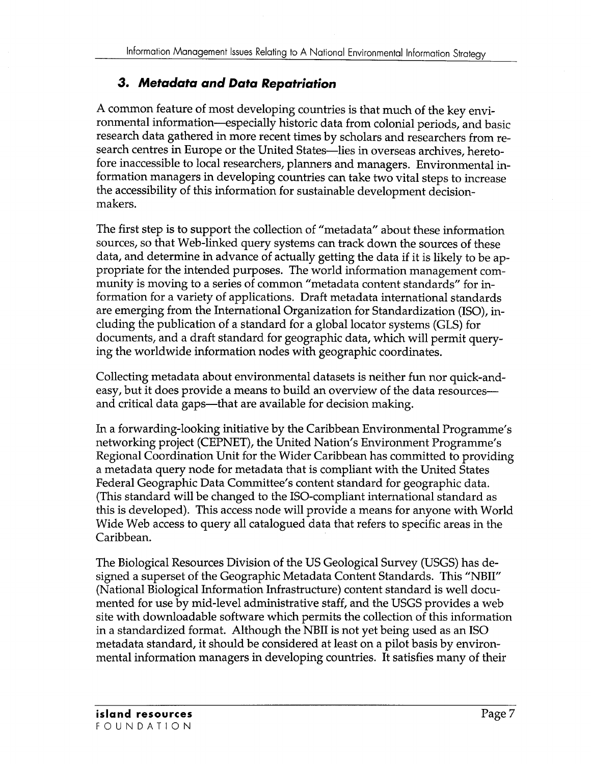## *3. Metadata* **and** *Data Repatriation*

A common feature of most developing countries is that much of the key environmental information-especially historic data from colonial periods, and basic research data gathered in more recent times by scholars and researchers from research centres in Europe or the United States-lies in overseas archives, heretofore inaccessible to local researchers, planners and managers. Environmental information managers in developing countries can take two vital steps to increase the accessibility of this information for sustainable development decisionmakers.

The first step is to support the collection of "metadata" about these information sources, so that Web-linked query systems can track down the sources of these data, and determine in advance of actually getting the data if it is likely to be appropriate for the intended purposes. The world information management community is moving to a series of common "metadata content standards" for information for a variety of applications. Draft metadata international standards are emerging from the International Organization for Standardization (ISO), including the publication of a standard for a global locator systems (GLS) for documents, and a draft standard for geographic data, which will permit querying the worldwide information nodes with geographic coordinates.

Collecting metadata about environmental datasets is neither fun nor quick-andeasy, but it does provide a means to build an overview of the data resourcesand critical data gaps—that are available for decision making.

In a forwarding-looking initiative by the Caribbean Environmental Programme's networking project (CEPNET), the United Nation's Environment Programme's Regional Coordination Unit for the Wider Caribbean has committed to providing a metadata query node for metadata that is compliant with the United States Federal Geographic Data Committee's content standard for geographic data. (This standard will be changed to the ISO-compliant international standard as this is developed). This access node will provide a means for anyone with World Wide Web access to query all catalogued data that refers to specific areas in the Caribbean.

The Biological Resources Division of the US Geological Survey (USGS) has designed a superset of the Geographic Metadata Content Standards. This "NBII" (National Biological Information Infrastructure) content standard is well documented for use by mid-level administrative staff, and the USGS provides a web site with downloadable software which permits the collection of this information in a standardized format. Although the NBII is not yet being used as an ISO metadata standard, it should be considered at least on a pilot basis by environmental information managers in developing countries. It satisfies many of their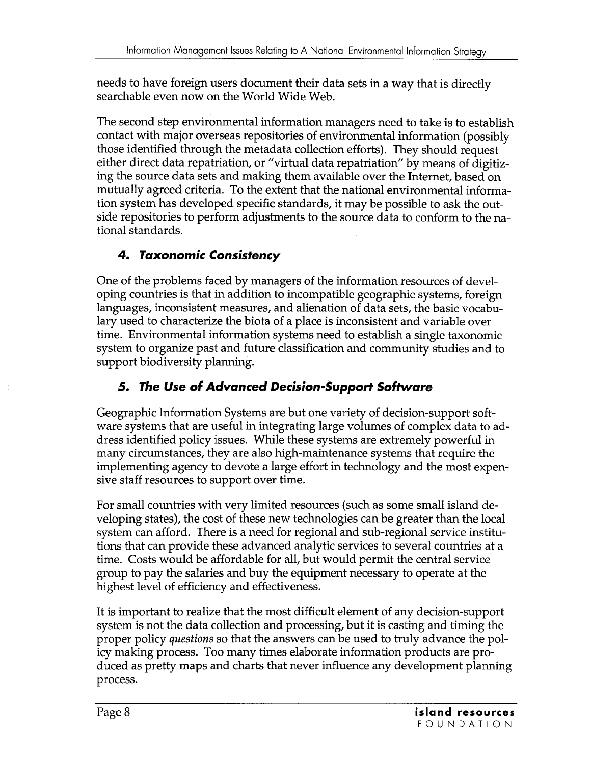needs to have foreign users document their data sets in a way that is directly searchable even now on the World Wide Web.

The second step environmental information managers need to take is to establish contact with major overseas repositories of environmental information (possibly those identified through the metadata collection efforts). They should request either direct data repatriation, or "virtual data repatriation" by means of digitizing the source data sets and making them available over the Internet, based on mutually agreed criteria. To the extent that the national environmental information system has developed specific standards, it may be possible to ask the outside repositories to perform adjustments to the source data to conform to the national standards.

# **4. Taxonomic Consistency**

One of the problems faced by managers of the information resources of developing countries is that in addition to incompatible geographic systems, foreign languages, inconsistent measures, and alienation of data sets, the basic vocabulary used to characterize the biota of a place is inconsistent and variable over time. Environmental information systems need to establish a single taxonomic system to organize past and future classification and community studies and to support biodiversity planning.

# **5. The Use of Advanced Decision-Support Software**

Geographic Information Systems are but one variety of decision-support software systems that are useful in integrating large volumes of complex data to address identified policy issues. While these systems are extremely powerful in many circumstances, they are also high-maintenance systems that require the implementing agency to devote a large effort in technology and the most expensive staff resources to support over time.

For small countries with very limited resources (such as some small island developing states), the cost of these new technologies can be greater than the local system can afford. There is a need for regional and sub-regional service institutions that can provide these advanced analytic services to several countries at a time. Costs would be affordable for all, but would permit the central service group to pay the salaries and buy the equipment necessary to operate at the highest level of efficiency and effectiveness.

It is important to realize that the most difficult element of any decision-support system is not the data collection and processing, but it is casting and timing the proper policy *questions* so that the answers can be used to truly advance the policy making process. Too many times elaborate information products are produced as pretty maps and charts that never influence any development planning process.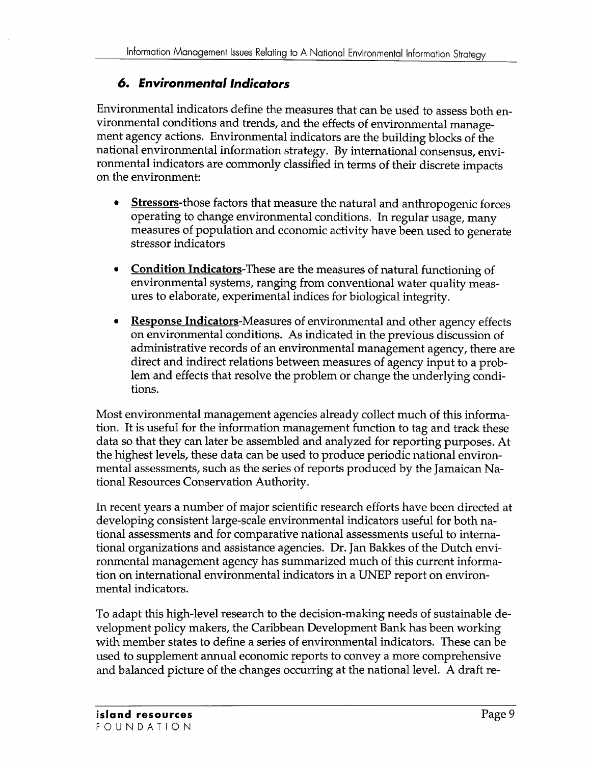## *6. Environmentallndicators*

Environmental indicators define the measures that can be used to assess both environmental conditions and trends, and the effects of environmental management agency actions. Environmental indicators are the building blocks of the national environmental information strategy. By international consensus, environmental indicators are commonly classified in terms of their discrete impacts on the environment:

- **Stressors-those factors that measure the natural and anthropogenic forces** operating to change environmental conditions. In regular usage, many measures of population and economic activity have been used to generate stressor indicators
- **Condition** Indicators-These are the measures of natural functioning of environmental systems, ranging from conventional water quality measures to elaborate, experimental indices for biological integrity.
- **Response** Indicators-Measures of environmental and other agency effects on environmental conditions. As indicated in the previous discussion of administrative records of an environmental management agency, there are direct and indirect relations between measures of agency input to a problem and effects that resolve the problem or change the underlying conditions.

Most environmental management agencies already collect much of this information. It is useful for the information management function to tag and track these data so that they can later be assembled and analyzed for reporting purposes. At the highest levels, these data can be used to produce periodic national environmental assessments, such as the series of reports produced by the Jamaican National Resources Conservation Authority.

In recent years a number of major scientific research efforts have been directed at developing consistent large-scale environmental indicators useful for both national assessments and for comparative national assessments useful to international organizations and assistance agencies. Dr. Jan Bakkes of the Dutch environmental management agency has summarized much of this current information on international environmental indicators in a UNEP report on environmental indicators.

To adapt this high-level research to the decision-making needs of sustainable development policy makers, the Caribbean Development Bank has been working with member states to define a series of environmental indicators. These can be used to supplement annual economic reports to convey a more comprehensive and balanced picture of the changes occurring at the national level. A draft re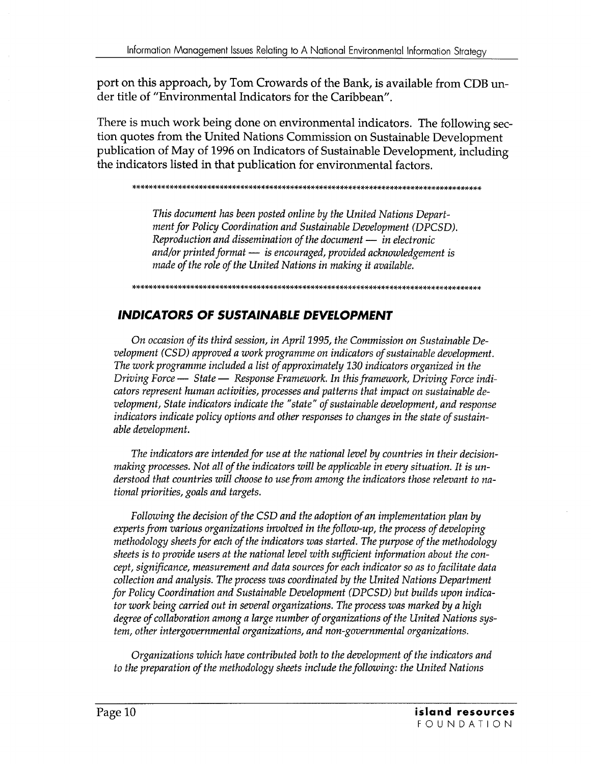port on this approach, by Tom Crowards of the Bank, is available from CDB under title of "Environmental Indicators for the Caribbean".

There is much work being done on environmental indicators. The following section quotes from the United Nations Commission on Sustainable Development publication of May of 1996 on Indicators of Sustainable Development, including the indicators listed in that publication for environmental factors.

\*\*\*\*\*\*\*\*\*\*\*\*\*\*\*\*\*\*\*\*\*\*\*\*\*\*\*\*\*\*\*\*\*\*\*\*\*\*\*\*\*\*\*\*\*\*\*\*\*\*\*\*\*\*\*\*\*\*\*\*\*\*\*\*\*\*\*\*\*\*\*\*\*\*\*\*\*\*\*\*\*\*\*\*

*This document has been posted online by the United Nations Department for Policy Coordination and Sustainable Development (DPCSD). Reproduction and dissemination of the document — in electronic and/or printed format* - *is encouraged, provided acknowledgement is made of the role of the United Nations in making it available.* 

\*\*\*\*\*\*\*\*\*\*\*\*\*\*\*\*\*\*\*\*\*\*\*\*\*\*\*\*\*\*\*\*\*\*\*\*\*\*\*\*\*\*\*\*\*\*\*\*\*\*\*\*\*\*\*\*\*\*\*\*\*\*\*\*\*\*\*\*\*\*\*\*\*\*\*\*\*\*\*\*\*\*\*\*

# **INDICATORS OF SUSTAINABLE DEVELOPMENT**

*On occasion of its third session, in April 1995, the Commission on Sustainable Development (CS* D) *approved a work programme on indicators of sustainable development. The work programme included a list of approximately 130 indicators organized in the Driving Force* - *State* - *Response Framework. In this framework, Driving Force indicators represent human activities, processes and patterns that impact on sustainable development, State indicators indicate the "state" of sustainable development, and response indicators indicate policy options and other responses to changes in the state of sustainable development.* 

*The indicators are intended for use at the national level by countries in their decision*making processes. Not all of the indicators will be applicable in every situation. It is un*derstood that countries will choose to use from among the indicators those relevant to national priorities, goals and targets.* 

*Following the decision of the CSD and the adoption of an implementation plan by experts from various organizations involved in the follow-up, the process of developing methodology sheets for each of the indicators was started. The purpose of the methodology sheets is to provide users at the national level with sufficient information about the concept, significance, measurement and data sources for each indicator* so *as to facilitate data collection and analysis. The process was coordinated by the United Nations Department for Policy Coordination and Sustainable Development (DPCSD) but builds upon indicator work being carried out in several organizations. The process was marked by a high degree of collaboration among a large number of organizations of the United Nations system, other intergovernmental organizations, and non-governmental organizations.* 

*Organizations which have contributed both to the development of the indicators and to the preparation of the methodology sheets include the following: the United Nations*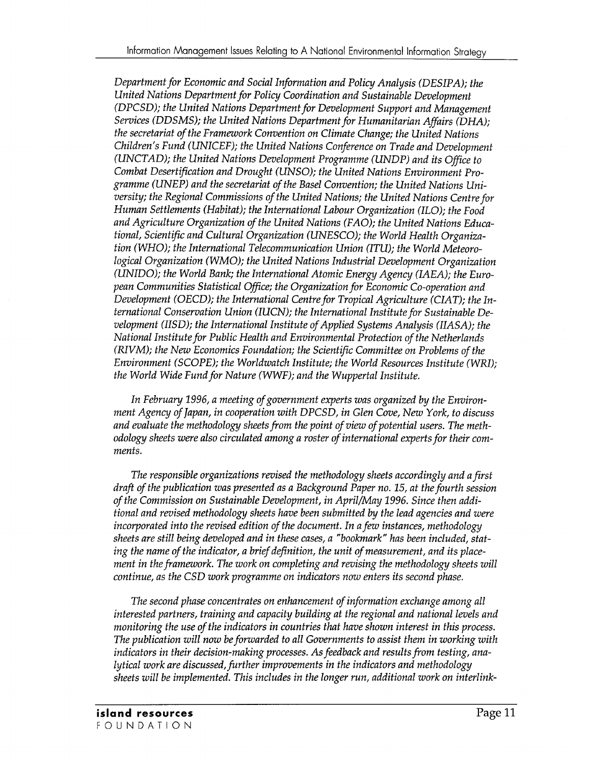*Department for Economic and Social Information and Policy Analysis (DESIPA); the United Nations Department for Policy Coordination and Sustainable Development (DPCSD); the United Nations Department for Development Support and Management Services (DDSMS); the United Nations Department for Humanitarian Affairs (DHA); the secretariat of the Framework Convention on Climate Change; the United Nations Children's Fund (UNICEF); the United Nations Conference on Trade and Development (UNCTAD); the United Nations Development Programme (UNDP) and its Office to Combat Desertification and Drought (UNSO); the United Nations Environment Programme (UNEP) and the secretariat of the Basel Convention; the United Nations University; the Regional Commissions of the United Nations; the United Nations Centre for Human Settlements (Habitat); the International Labour Organization (ILO); the Food and Agriculture Organization of the United Nations (FAO); the United Nations Educational, Scientific and Cultural Organization (UNESCO); the World Health Organization (WHO); the International Telecommunication Union (ITU); the World Meteorological Organization (WMO); the United Nations Industrial Development Organization (UNIDO); the World Bank; the International Atomic Energy Agency (IAEA); the European Communities Statistical Office; the Organization for Economic Co-operation and*  Development *(OECD); the International Centre for Tropical Agriculture (CIAT); the International Conservation Union (IUCN); the International Institute for Sustainable Development (IISD); the International Institute of Applied Systems Analysis (IIASA); the National Institute for Public Health and Environmental Protection of the Netherlands (RIVM); the New Economics Foundation; the Scientific Committee on Problems of the Environment (SCOPE); the Worldwatch Institute; the World Resources Institute (WRI); the World Wide Fund for Nature (WWF); and the Wuppertal Institute.* 

*In February* 1996, *a meeting of government experts was organized by the Environment Agency of Japan, in cooperation with DPCSD, in Glen Cove, New York, to discuss and evaluate the methodology sheets from the point of view of potential users. The methodology sheets were also circulated among a roster of international experts for their comments.* 

*The responsible organizations revised the methodology sheets accordingly and a first draft of the publication was presented as a Background Paper no.* 15, *at the fourth session of the Commission on Sustainable Development, in April/May* 1996. *Since then additional and revised methodology sheets have been submitted by the lead agencies and were incorporated into the revised edition of the document. In a few instances, methodology sheets are still being developed and in these cases, a "bookmark" has been included, stating the name of the indicator, a brief definition, the unit of measurement, and its placement in the framework. The work on completing and revising the methodology sheets will continue, as the CSD work programme on indicators now enters its second phase.* 

*The second phase concentrates on enhancement of information exchange among all interested partners, training and capacity building at the regional and national levels and monitoring the use of the indicators in countries that have shown interest in this process. The publication will now be forwarded to all Governments to assist them in working with indicators in their decision-making processes. As feedback and results from testing, analytical work are discussed, further improvements in the indicators and methodology sheets will be implemented. This includes in the longer run, additional work on interlink-*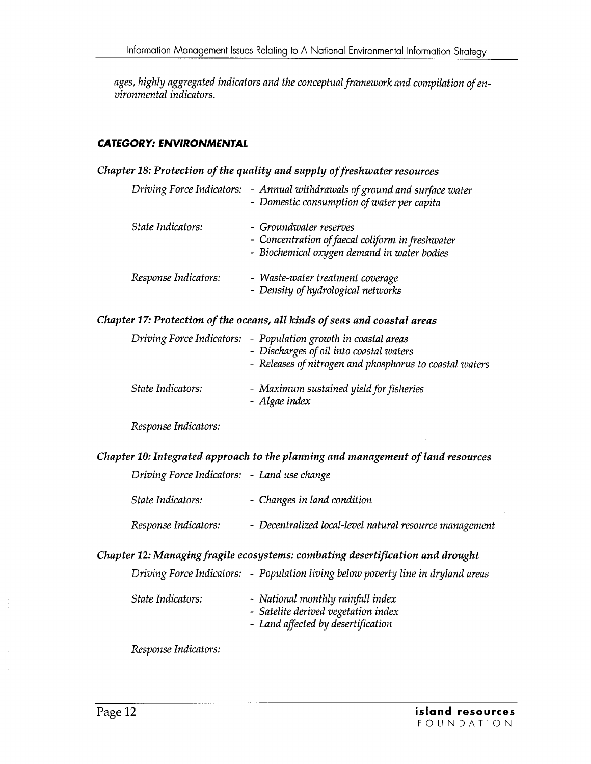*ages, highly aggregated indicators and the conceptual framework and compilation of environmental indicators.* 

### **CATEGORY: ENVIRONMENTAL**

## *Chapter* 18: *Protection of the quality and supply of freshwater resources*

|                      | Driving Force Indicators: - Annual withdrawals of ground and surface water<br>- Domestic consumption of water per capita  |
|----------------------|---------------------------------------------------------------------------------------------------------------------------|
| State Indicators:    | - Groundwater reserves<br>- Concentration of faecal coliform in freshwater<br>- Biochemical oxygen demand in water bodies |
| Response Indicators: | - Waste-water treatment coverage<br>- Density of hydrological networks                                                    |

### *Chapter* 17: *Protection of the oceans, all kinds of seas and coastal areas*

|                   | Driving Force Indicators: - Population growth in coastal areas<br>- Discharges of oil into coastal waters<br>- Releases of nitrogen and phosphorus to coastal waters |
|-------------------|----------------------------------------------------------------------------------------------------------------------------------------------------------------------|
| State Indicators: | - Maximum sustained yield for fisheries<br>- Algae index                                                                                                             |

*Response Indicators:* 

*Chapter 10: Integrated approach* to *the planning and management of land resources* 

| Driving Force Indicators: - Land use change |                                                         |
|---------------------------------------------|---------------------------------------------------------|
| State Indicators:                           | - Changes in land condition                             |
| Response Indicators:                        | - Decentralized local-level natural resource management |

*Chapter* 12: *Managing fragile ecosystems: combating desertification and drought* 

|                   | Driving Force Indicators: - Population living below poverty line in dryland areas                              |
|-------------------|----------------------------------------------------------------------------------------------------------------|
| State Indicators: | - National monthly rainfall index<br>- Satelite derived vegetation index<br>- Land affected by desertification |

*Response Indicators:*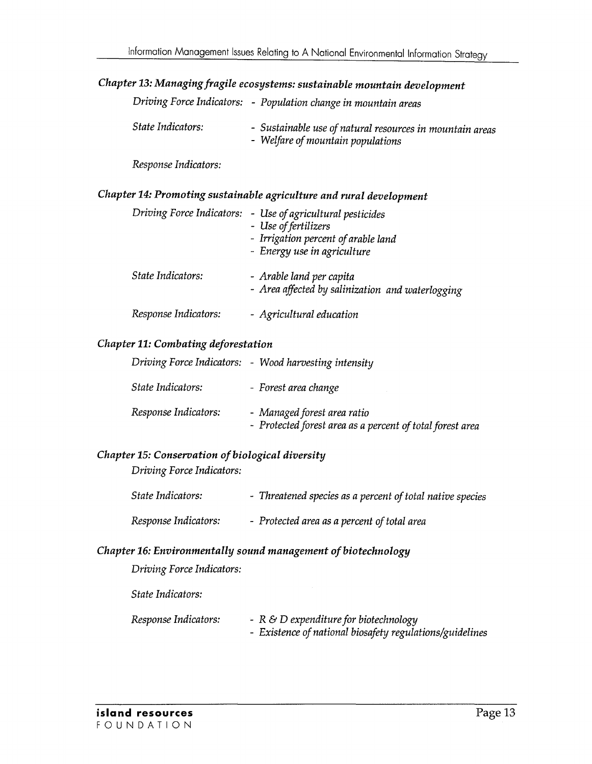# *Chapter* 13: *Managing fragile ecosystems: sustainable mountain development*

|                   | Driving Force Indicators: - Population change in mountain areas                               |
|-------------------|-----------------------------------------------------------------------------------------------|
| State Indicators: | - Sustainable use of natural resources in mountain areas<br>- Welfare of mountain populations |

*Response Indicators:* 

## *Chapter* 14: *Promoting sustainable agriculture and rural development*

| Driving Force Indicators: | - Use of agricultural pesticides<br>- Use of fertilizers<br>- Irrigation percent of arable land<br>- Energy use in agriculture |
|---------------------------|--------------------------------------------------------------------------------------------------------------------------------|
| State Indicators:         | - Arable land per capita<br>- Area affected by salinization and waterlogging                                                   |
| Response Indicators:      | - Agricultural education                                                                                                       |

#### *Chapter* 11: *Combating deforestation*

|                      | Driving Force Indicators: - Wood harvesting intensity                                    |
|----------------------|------------------------------------------------------------------------------------------|
| State Indicators:    | - Forest area change                                                                     |
| Response Indicators: | - Managed forest area ratio<br>- Protected forest area as a percent of total forest area |

## *Chapter* 15: *Conservation of biological diversity*

*Driving Force Indicators:* 

| State Indicators:    | - Threatened species as a percent of total native species |
|----------------------|-----------------------------------------------------------|
| Response Indicators: | - Protected area as a percent of total area               |

### *Chapter* 16: *Environmentally sound management of biotechnology*

*Driving Force Indicators:* 

*State Indicators:* 

| Response Indicators: | - $R \& D$ expenditure for biotechnology                 |
|----------------------|----------------------------------------------------------|
|                      | - Existence of national biosafety regulations/guidelines |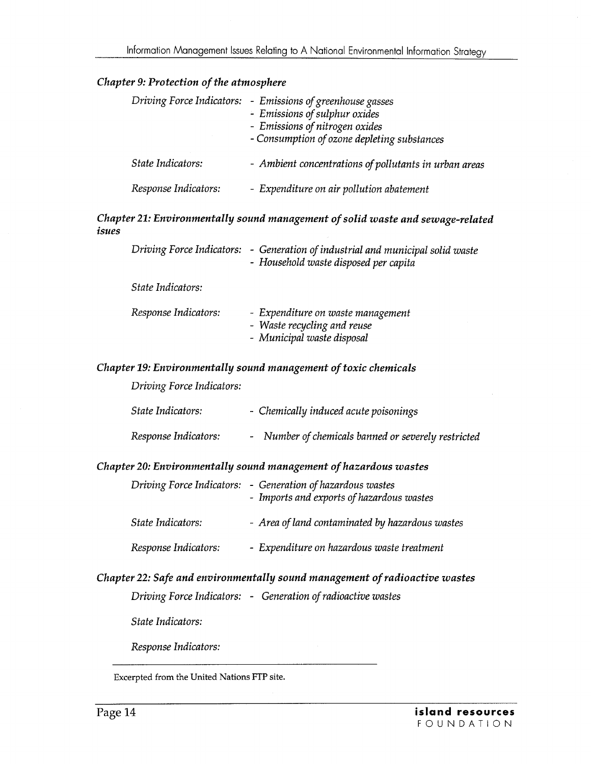### *Chapter* 9: *Protection of the atmosphere*

|                      | Driving Force Indicators: - Emissions of greenhouse gasses<br>- Emissions of sulphur oxides<br>- Emissions of nitrogen oxides<br>- Consumption of ozone depleting substances |
|----------------------|------------------------------------------------------------------------------------------------------------------------------------------------------------------------------|
| State Indicators:    | - Ambient concentrations of pollutants in urban areas                                                                                                                        |
| Response Indicators: | - Expenditure on air pollution abatement                                                                                                                                     |

#### *Chapter* 21: *Environmentally sound management of solid waste and sewage-related isues*

|                      | Driving Force Indicators: - Generation of industrial and municipal solid waste<br>- Household waste disposed per capita |
|----------------------|-------------------------------------------------------------------------------------------------------------------------|
| State Indicators:    |                                                                                                                         |
| Response Indicators: | - Expenditure on waste management<br>- Waste recycling and reuse<br>- Municipal waste disposal                          |

#### *Chapter* 19: *Environmentally sound management of toxic chemicals*

*Driving Force Indicators:* 

| State Indicators:    | - Chemically induced acute poisonings               |
|----------------------|-----------------------------------------------------|
| Response Indicators: | - Number of chemicals banned or severely restricted |

#### *Chapter 20: Environmentally sound management of hazardous wastes*

|                      | Driving Force Indicators: - Generation of hazardous wastes<br>- Imports and exports of hazardous wastes |
|----------------------|---------------------------------------------------------------------------------------------------------|
| State Indicators:    | - Area of land contaminated by hazardous wastes                                                         |
| Response Indicators: | - Expenditure on hazardous waste treatment                                                              |

### *Chapter* 22: *Safe and environmentally sound management of radioactive wastes*

*Driving Force Indicators:* - *Generation of radioactive wastes* 

*State Indicators:* 

*Response Indicators:* 

Excerpted from the United Nations FIP site.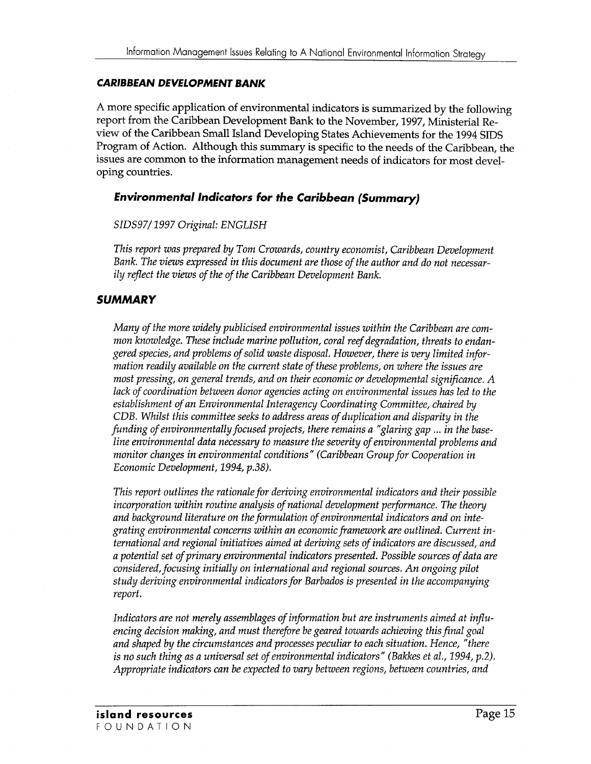#### **CARIBBEAN DEVELOPMENT BANK**

A more specific application of environmental indicators is summarized by the following report from the Caribbean Development Bank to the November, 1997, Ministerial Review of the Caribbean Small Island Developing States Achievements for the 1994 SIDS Program of Action. Although this summary is specific to the needs of the Caribbean, the issues are common to the information management needs of indicators for most developing countries.

### *Environmental Indicators* **for** *the Caribbean (Summary)*

#### *SIDS97/* 1997 *Original: ENGLISH*

*This report was prepared by Tom Crowards, country economist, Caribbean Development Bank. The views expressed in this document are those of the author and do not necessarily reflect the views of the of the Caribbean Development Bank.* 

### **SUMMARY**

*Many of the more widely publicised environmental issues within the Caribbean are common knowledge. These include marine pollution, coral reef degradation, threats to endangered species, and problems of solid waste disposal. However, there is very limited information readily available on the current state of these problems, on where the issues are most pressing, on general trends, and on their economic or developmental significance. A lack of coordination between donor agencies acting on environmental issues has led to the establishment of an Environmental Interagency Coordinating Committee, chaired by CDB. Whilst this committee seeks to address areas of duplication and disparity in the funding of environmentally focused projects, there remains a "glaring gap* ... *in the baseline environmental data necessary to measure the severity of environmental problems and monitor changes in environmental conditions" (Caribbean Group for Cooperation in Economic Development,* 1994, *p.38).* 

*This report outlines the rationale for deriving environmental indicators and their possible incorporation within routine analysis of national development performance. The theory and background literature on the formulation of environmental indicators and on integrating environmental concerns within an economic framework are outlined. Current international and regional initiatives aimed at deriving sets of indicators are discussed, and a potential set of primary environmental indicators presented. Possible sources of data are considered, focusing initially on international and regional sources. An ongoing pilot study deriving environmental indicators for Barbados is presented in the accompanying report.* 

*Indicators are not merely assemblages of information but are instruments aimed at influencing decision making, and must therefore be geared towards achieving this final goal and shaped by the circumstances and processes peculiar to each situation. Hence, "there is no such thing as a universal set of environmental indicators" (Bakkes et al., 1994, p.2). Appropriate indicators can be expected to vary between regions, between countries, and*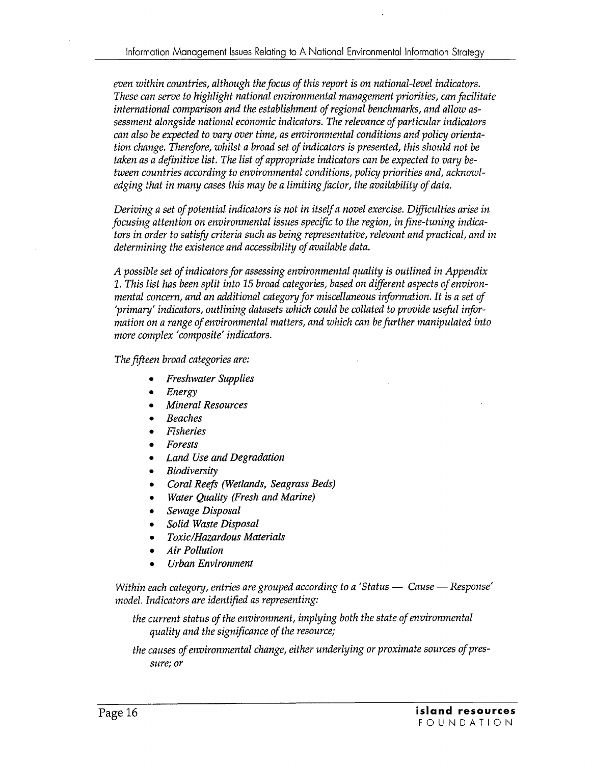*even within countries, although the focus of this report is on national-level indicators. These can serve to highlight national environmental management priorities, can facilitate international comparison and the establishment of regional benchmarks, and allow assessment alongside national economic indicators. The relevance of particular indicators can also be expected to vary over time, as environmental conditions and policy orientation change. Therefore, whilst a broad set of indicators is presented, this should not be taken as a definitive list. The list of appropriate indicators can be expected to vary between countries according to environmental conditions, policy priorities and, acknowledging that in many cases this may be a limiting factor, the availability of data.* 

*Deriving a set of potential indicators is not in itself a novel exercise. Difficulties arise in focusing attention on environmental issues specific to the region, in fine-tuning indicators in order to satisfy criteria such as being representative, relevant and practical, and in determining the existence and accessibility of available data.* 

*A possible set of indicators for assessing environmental quality is outlined in Appendix 1. This list has been split into* 15 *broad categories, based on different aspects of environmental concern, and an additional category for miscellaneous information.* It *is a set of 'primary' indicators, outlining datasets which could be collated to provide useful information on a range of environmental matters, and which can be further manipulated into more complex' composite' indicators.* 

*The fifteen broad categories are:* 

- *Freshwater Supplies*
- *Energy*
- *Mineral Resources*
- *Beaches*
- *Fisheries*
- *Forests*
- *Land Use and Degradation*
- *Biodiversity*
- *Coral Reefs (Wetlands, Seagrass Beds)*
- *Water Quality (Fresh and Marine)*
- *Sewage Disposal*
- *Solid Waste Disposal*
- *Toxic/Hazardous Materials*
- *Air Pollution*
- *Urban Environment*

*Within each category, entries are grouped according to a 'Status — Cause — Response' model. Indicators are identified as representing:* 

*the current status of the environment, implying both the state of environmental quality and the significance of the resource;* 

*the causes of environmental change, either underlying or proximate sources of pressure; or*